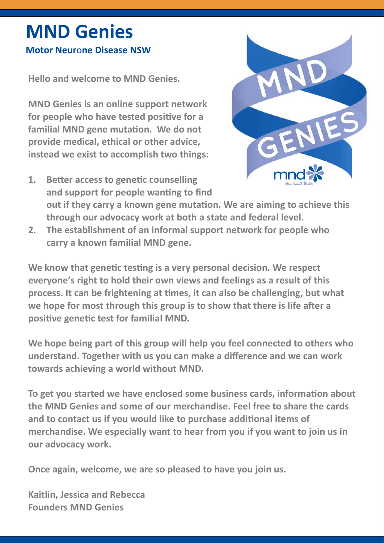# **MND Genies**

# **Motor Neur**o**ne Disease NSW**

**Hello and welcome to MND Genies.** 

**MND Genies is an online support network for people who have tested positive for a familial MND gene mutation. We do not provide medical, ethical or other advice, instead we exist to accomplish two things:**



- **1. Better access to genetic counselling and support for people wanting to find out if they carry a known gene mutation. We are aiming to achieve this through our advocacy work at both a state and federal level.**
- **2. The establishment of an informal support network for people who carry a known familial MND gene.**

**We know that genetic testing is a very personal decision. We respect everyone's right to hold their own views and feelings as a result of this process. It can be frightening at times, it can also be challenging, but what we hope for most through this group is to show that there is life after a positive genetic test for familial MND.** 

**We hope being part of this group will help you feel connected to others who understand. Together with us you can make a difference and we can work towards achieving a world without MND.** 

**To get you started we have enclosed some business cards, information about the MND Genies and some of our merchandise. Feel free to share the cards and to contact us if you would like to purchase additional items of merchandise. We especially want to hear from you if you want to join us in our advocacy work.**

**Once again, welcome, we are so pleased to have you join us.**

**Kaitlin, Jessica and Rebecca Founders MND Genies**